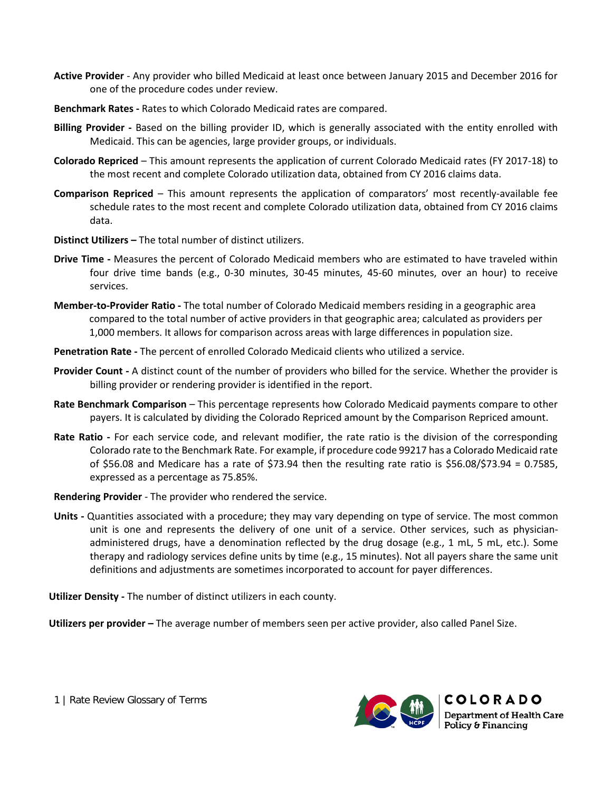- **Active Provider**  Any provider who billed Medicaid at least once between January 2015 and December 2016 for one of the procedure codes under review.
- **Benchmark Rates -** Rates to which Colorado Medicaid rates are compared.
- **Billing Provider -** Based on the billing provider ID, which is generally associated with the entity enrolled with Medicaid. This can be agencies, large provider groups, or individuals.
- **Colorado Repriced**  This amount represents the application of current Colorado Medicaid rates (FY 2017-18) to the most recent and complete Colorado utilization data, obtained from CY 2016 claims data.
- **Comparison Repriced**  This amount represents the application of comparators' most recently-available fee schedule rates to the most recent and complete Colorado utilization data, obtained from CY 2016 claims data.
- **Distinct Utilizers –** The total number of distinct utilizers.
- **Drive Time -** Measures the percent of Colorado Medicaid members who are estimated to have traveled within four drive time bands (e.g., 0-30 minutes, 30-45 minutes, 45-60 minutes, over an hour) to receive services.
- **Member-to-Provider Ratio -** The total number of Colorado Medicaid members residing in a geographic area compared to the total number of active providers in that geographic area; calculated as providers per 1,000 members. It allows for comparison across areas with large differences in population size.
- **Penetration Rate -** The percent of enrolled Colorado Medicaid clients who utilized a service.
- **Provider Count -** A distinct count of the number of providers who billed for the service. Whether the provider is billing provider or rendering provider is identified in the report.
- **Rate Benchmark Comparison**  This percentage represents how Colorado Medicaid payments compare to other payers. It is calculated by dividing the Colorado Repriced amount by the Comparison Repriced amount.
- **Rate Ratio -** For each service code, and relevant modifier, the rate ratio is the division of the corresponding Colorado rate to the Benchmark Rate. For example, if procedure code 99217 has a Colorado Medicaid rate of \$56.08 and Medicare has a rate of \$73.94 then the resulting rate ratio is \$56.08/\$73.94 = 0.7585, expressed as a percentage as 75.85%.
- **Rendering Provider**  The provider who rendered the service.
- **Units -** Quantities associated with a procedure; they may vary depending on type of service. The most common unit is one and represents the delivery of one unit of a service. Other services, such as physicianadministered drugs, have a denomination reflected by the drug dosage (e.g., 1 mL, 5 mL, etc.). Some therapy and radiology services define units by time (e.g., 15 minutes). Not all payers share the same unit definitions and adjustments are sometimes incorporated to account for payer differences.

**Utilizer Density -** The number of distinct utilizers in each county.

**Utilizers per provider –** The average number of members seen per active provider, also called Panel Size.



1 | Rate Review Glossary of Terms